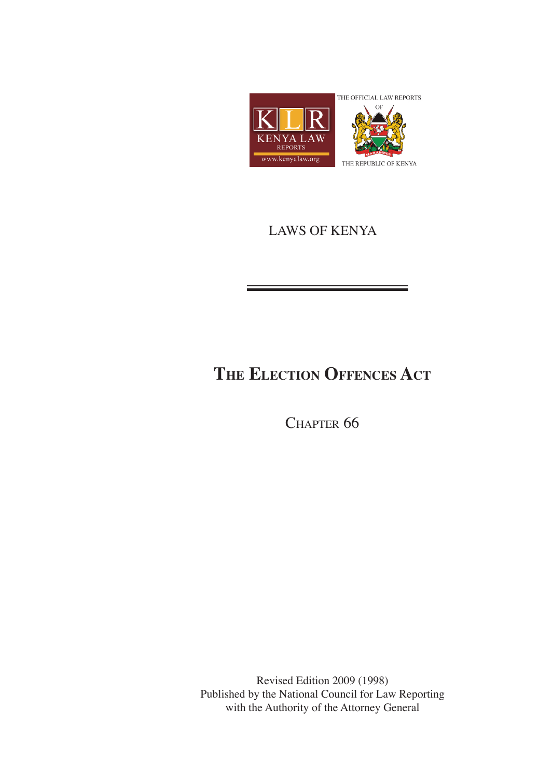

## LAWS OF KENYA

# **The Election Offences Act**

CHAPTER 66

Revised Edition 2009 (1998) Published by the National Council for Law Reporting with the Authority of the Attorney General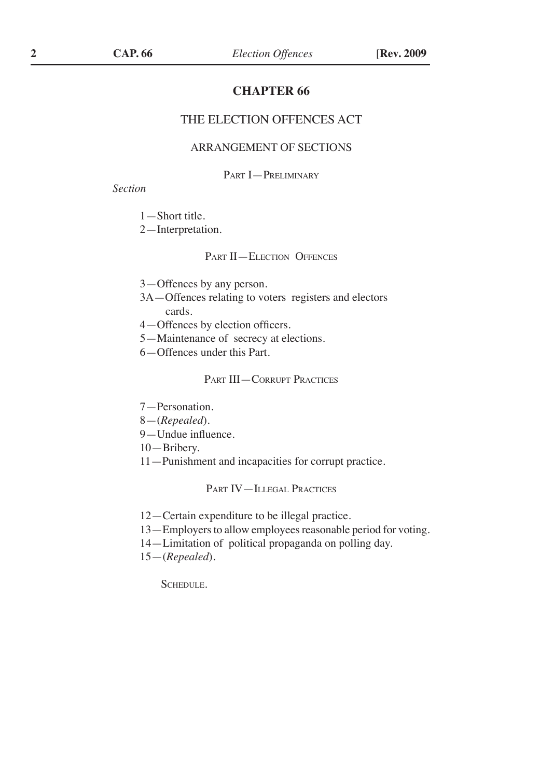#### **CHAPTER 66**

#### THE ELECTION OFFENCES ACT

#### ARRANGEMENT OF SECTIONS

#### Part I—Preliminary

#### *Section*

- 1—Short title.
- 2—Interpretation.

#### PART II—ELECTION OFFENCES

- 3—Offences by any person.
- 3A—Offences relating to voters registers and electors cards.
- 4—Offences by election officers.
- 5—Maintenance of secrecy at elections.
- 6—Offences under this Part.

#### Part III—Corrupt Practices

- 7—Personation.
- 8—(*Repealed*).
- 9—Undue influence.
- 10—Bribery.
- 11—Punishment and incapacities for corrupt practice.

#### Part IV—Illegal Practices

- 12—Certain expenditure to be illegal practice.
- 13—Employers to allow employees reasonable period for voting.
- 14—Limitation of political propaganda on polling day.
- 15—(*Repealed*).

SCHEDULE.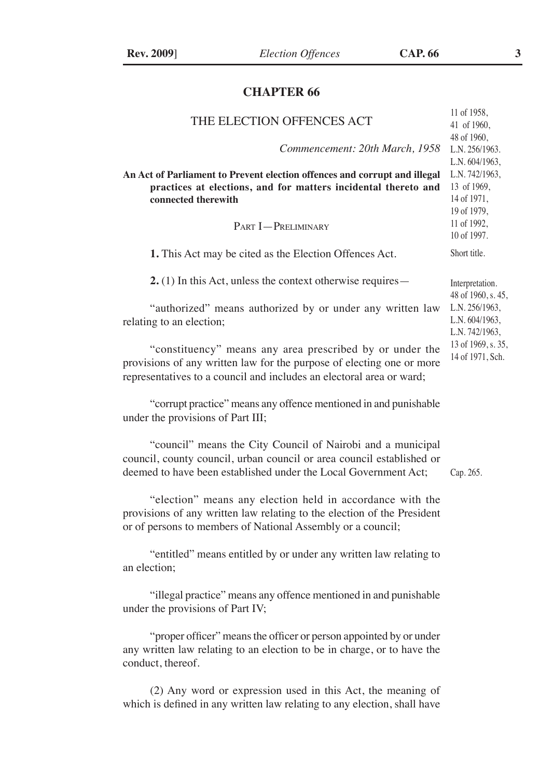### **CHAPTER 66**

| THE ELECTION OFFENCES ACT                                                                                                                                                                                 | 11 of 1958,<br>41 of 1960,                                                                   |
|-----------------------------------------------------------------------------------------------------------------------------------------------------------------------------------------------------------|----------------------------------------------------------------------------------------------|
| Commencement: 20th March, 1958                                                                                                                                                                            | 48 of 1960,<br>L.N. 256/1963.<br>L.N. 604/1963,                                              |
| An Act of Parliament to Prevent election offences and corrupt and illegal<br>practices at elections, and for matters incidental thereto and<br>connected therewith<br>PART <b>I</b> -PRELIMINARY          | L.N. 742/1963,<br>13 of 1969,<br>14 of 1971,<br>19 of 1979,<br>11 of 1992,<br>10 of 1997.    |
| 1. This Act may be cited as the Election Offences Act.                                                                                                                                                    | Short title.                                                                                 |
| $2.$ (1) In this Act, unless the context otherwise requires —                                                                                                                                             | Interpretation.<br>48 of 1960, s. 45,                                                        |
| "authorized" means authorized by or under any written law<br>relating to an election;                                                                                                                     | L.N. 256/1963,<br>L.N. 604/1963,<br>L.N. 742/1963,<br>13 of 1969, s. 35,<br>14 of 1971, Sch. |
| "constituency" means any area prescribed by or under the<br>provisions of any written law for the purpose of electing one or more<br>representatives to a council and includes an electoral area or ward; |                                                                                              |
| "corrupt practice" means any offence mentioned in and punishable<br>under the provisions of Part III;                                                                                                     |                                                                                              |
| "council" means the City Council of Nairobi and a municipal<br>council, county council, urban council or area council established or<br>deemed to have been established under the Local Government Act;   | Cap. 265.                                                                                    |
| "election" means any election held in accordance with the<br>provisions of any written law relating to the election of the President<br>or of persons to members of National Assembly or a council;       |                                                                                              |
| "entitled" means entitled by or under any written law relating to<br>an election;                                                                                                                         |                                                                                              |
| "illegal practice" means any offence mentioned in and punishable<br>under the provisions of Part IV;                                                                                                      |                                                                                              |

"proper officer" means the officer or person appointed by or under any written law relating to an election to be in charge, or to have the conduct, thereof.

(2) Any word or expression used in this Act, the meaning of which is defined in any written law relating to any election, shall have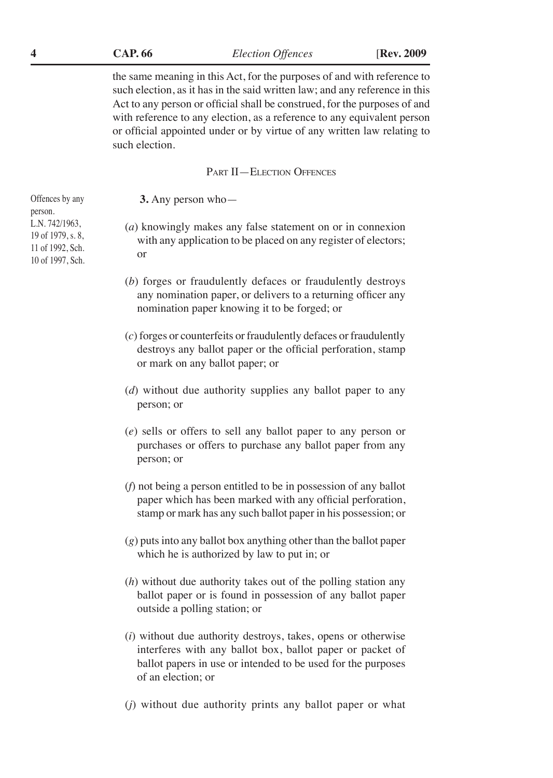**CAP. 66 4** *Election Offences* [**Rev. 2009**

the same meaning in this Act, for the purposes of and with reference to such election, as it has in the said written law; and any reference in this Act to any person or official shall be construed, for the purposes of and with reference to any election, as a reference to any equivalent person or official appointed under or by virtue of any written law relating to such election.

#### Part II—Election Offences

**3.** Any person who—

- (*a*) knowingly makes any false statement on or in connexion with any application to be placed on any register of electors; or
- (*b*) forges or fraudulently defaces or fraudulently destroys any nomination paper, or delivers to a returning officer any nomination paper knowing it to be forged; or
- (*c*) forges or counterfeits or fraudulently defaces or fraudulently destroys any ballot paper or the official perforation, stamp or mark on any ballot paper; or
- (*d*) without due authority supplies any ballot paper to any person; or
- (*e*) sells or offers to sell any ballot paper to any person or purchases or offers to purchase any ballot paper from any person; or
- (*f*) not being a person entitled to be in possession of any ballot paper which has been marked with any official perforation, stamp or mark has any such ballot paper in his possession; or
- (*g*) puts into any ballot box anything other than the ballot paper which he is authorized by law to put in; or
- (*h*) without due authority takes out of the polling station any ballot paper or is found in possession of any ballot paper outside a polling station; or
- (*i*) without due authority destroys, takes, opens or otherwise interferes with any ballot box, ballot paper or packet of ballot papers in use or intended to be used for the purposes of an election; or
- (*j*) without due authority prints any ballot paper or what

Offences by any person. L.N. 742/1963, 19 of 1979, s. 8, 11 of 1992, Sch. 10 of 1997, Sch.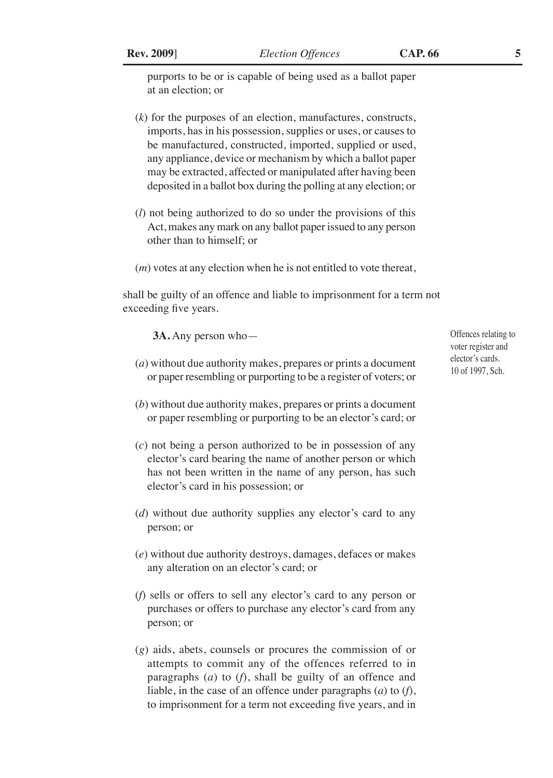purports to be or is capable of being used as a ballot paper at an election; or

- (*k*) for the purposes of an election, manufactures, constructs, imports, has in his possession, supplies or uses, or causes to be manufactured, constructed, imported, supplied or used, any appliance, device or mechanism by which a ballot paper may be extracted, affected or manipulated after having been deposited in a ballot box during the polling at any election; or
- (*l*) not being authorized to do so under the provisions of this Act, makes any mark on any ballot paper issued to any person other than to himself; or
- (*m*) votes at any election when he is not entitled to vote thereat,

shall be guilty of an offence and liable to imprisonment for a term not exceeding five years.

**3A.** Any person who—

- (*a*) without due authority makes, prepares or prints a document or paper resembling or purporting to be a register of voters; or
- (*b*) without due authority makes, prepares or prints a document or paper resembling or purporting to be an elector's card; or
- (*c*) not being a person authorized to be in possession of any elector's card bearing the name of another person or which has not been written in the name of any person, has such elector's card in his possession; or
- (*d*) without due authority supplies any elector's card to any person; or
- (*e*) without due authority destroys, damages, defaces or makes any alteration on an elector's card; or
- (*f*) sells or offers to sell any elector's card to any person or purchases or offers to purchase any elector's card from any person; or
- (*g*) aids, abets, counsels or procures the commission of or attempts to commit any of the offences referred to in paragraphs (*a*) to (*f*), shall be guilty of an offence and liable, in the case of an offence under paragraphs (*a*) to (*f*), to imprisonment for a term not exceeding five years, and in

Offences relating to voter register and elector's cards. 10 of 1997, Sch.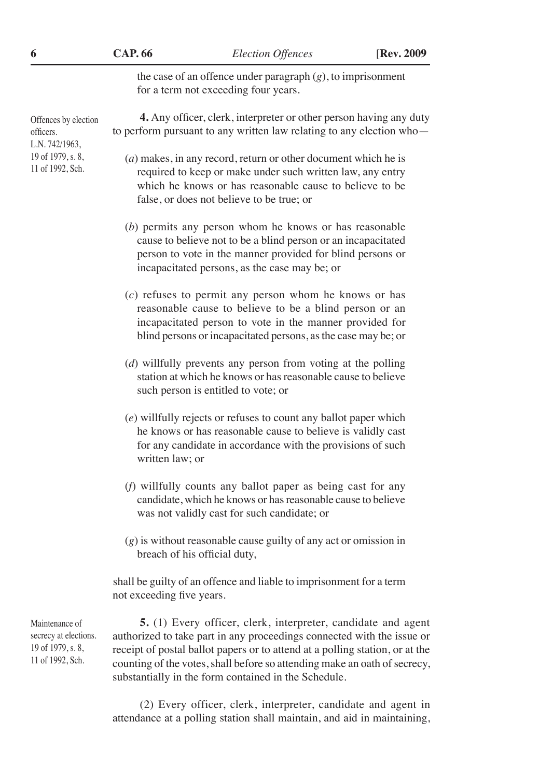**CAP. 66 6** *Election Offences* [**Rev. 2009**

the case of an offence under paragraph (*g*), to imprisonment for a term not exceeding four years.

**4.** Any officer, clerk, interpreter or other person having any duty

Offences by election officers. L.N. 742/1963, 19 of 1979, s. 8, 11 of 1992, Sch.

- to perform pursuant to any written law relating to any election who— (*a*) makes, in any record, return or other document which he is required to keep or make under such written law, any entry which he knows or has reasonable cause to believe to be false, or does not believe to be true; or (*b*) permits any person whom he knows or has reasonable cause to believe not to be a blind person or an incapacitated person to vote in the manner provided for blind persons or incapacitated persons, as the case may be; or (*c*) refuses to permit any person whom he knows or has
	- reasonable cause to believe to be a blind person or an incapacitated person to vote in the manner provided for blind persons or incapacitated persons, as the case may be; or
	- (*d*) willfully prevents any person from voting at the polling station at which he knows or has reasonable cause to believe such person is entitled to vote; or
	- (*e*) willfully rejects or refuses to count any ballot paper which he knows or has reasonable cause to believe is validly cast for any candidate in accordance with the provisions of such written law; or
	- (*f*) willfully counts any ballot paper as being cast for any candidate, which he knows or has reasonable cause to believe was not validly cast for such candidate; or
	- (*g*) is without reasonable cause guilty of any act or omission in breach of his official duty,

shall be guilty of an offence and liable to imprisonment for a term not exceeding five years.

**5.** (1) Every officer, clerk, interpreter, candidate and agent authorized to take part in any proceedings connected with the issue or receipt of postal ballot papers or to attend at a polling station, or at the counting of the votes, shall before so attending make an oath of secrecy, substantially in the form contained in the Schedule.

(2) Every officer, clerk, interpreter, candidate and agent in attendance at a polling station shall maintain, and aid in maintaining,

Maintenance of secrecy at elections. 19 of 1979, s. 8, 11 of 1992, Sch.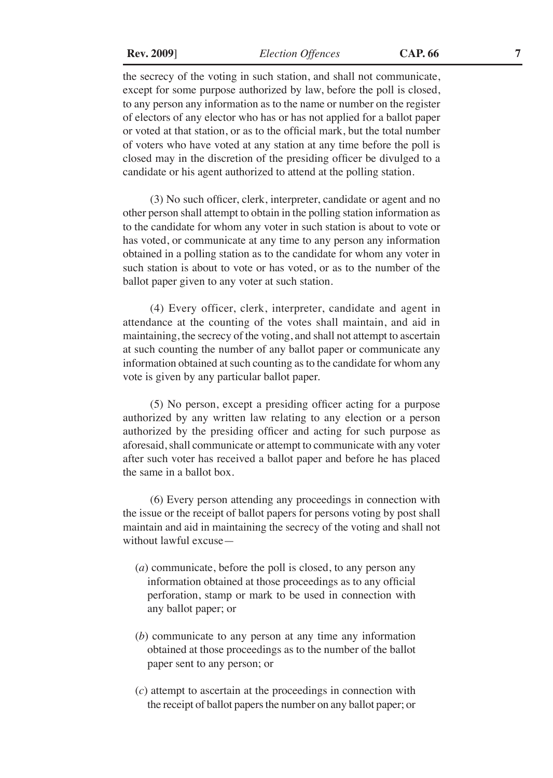**Rev. 2009**] *Election Offences* **CAP. 66 7**

the secrecy of the voting in such station, and shall not communicate, except for some purpose authorized by law, before the poll is closed, to any person any information as to the name or number on the register of electors of any elector who has or has not applied for a ballot paper or voted at that station, or as to the official mark, but the total number of voters who have voted at any station at any time before the poll is closed may in the discretion of the presiding officer be divulged to a candidate or his agent authorized to attend at the polling station.

(3) No such officer, clerk, interpreter, candidate or agent and no other person shall attempt to obtain in the polling station information as to the candidate for whom any voter in such station is about to vote or has voted, or communicate at any time to any person any information obtained in a polling station as to the candidate for whom any voter in such station is about to vote or has voted, or as to the number of the ballot paper given to any voter at such station.

(4) Every officer, clerk, interpreter, candidate and agent in attendance at the counting of the votes shall maintain, and aid in maintaining, the secrecy of the voting, and shall not attempt to ascertain at such counting the number of any ballot paper or communicate any information obtained at such counting as to the candidate for whom any vote is given by any particular ballot paper.

(5) No person, except a presiding officer acting for a purpose authorized by any written law relating to any election or a person authorized by the presiding officer and acting for such purpose as aforesaid, shall communicate or attempt to communicate with any voter after such voter has received a ballot paper and before he has placed the same in a ballot box.

(6) Every person attending any proceedings in connection with the issue or the receipt of ballot papers for persons voting by post shall maintain and aid in maintaining the secrecy of the voting and shall not without lawful excuse—

- (*a*) communicate, before the poll is closed, to any person any information obtained at those proceedings as to any official perforation, stamp or mark to be used in connection with any ballot paper; or
- (*b*) communicate to any person at any time any information obtained at those proceedings as to the number of the ballot paper sent to any person; or
- (*c*) attempt to ascertain at the proceedings in connection with the receipt of ballot papers the number on any ballot paper; or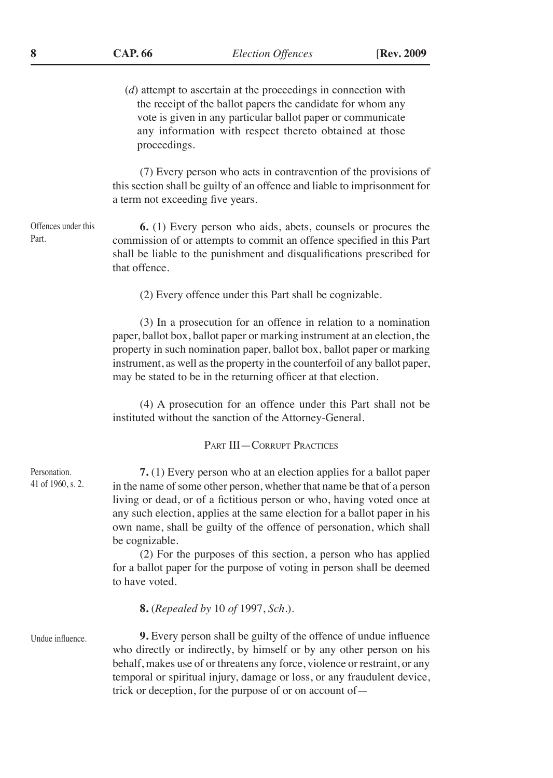(*d*) attempt to ascertain at the proceedings in connection with the receipt of the ballot papers the candidate for whom any vote is given in any particular ballot paper or communicate any information with respect thereto obtained at those proceedings.

(7) Every person who acts in contravention of the provisions of this section shall be guilty of an offence and liable to imprisonment for a term not exceeding five years.

**6.** (1) Every person who aids, abets, counsels or procures the commission of or attempts to commit an offence specified in this Part shall be liable to the punishment and disqualifications prescribed for that offence.

(2) Every offence under this Part shall be cognizable.

(3) In a prosecution for an offence in relation to a nomination paper, ballot box, ballot paper or marking instrument at an election, the property in such nomination paper, ballot box, ballot paper or marking instrument, as well as the property in the counterfoil of any ballot paper, may be stated to be in the returning officer at that election.

(4) A prosecution for an offence under this Part shall not be instituted without the sanction of the Attorney-General.

#### Part III—Corrupt Practices

**7.** (1) Every person who at an election applies for a ballot paper in the name of some other person, whether that name be that of a person living or dead, or of a fictitious person or who, having voted once at any such election, applies at the same election for a ballot paper in his own name, shall be guilty of the offence of personation, which shall be cognizable.

(2) For the purposes of this section, a person who has applied for a ballot paper for the purpose of voting in person shall be deemed to have voted.

**8.** (*Repealed by* 10 *of* 1997, *Sch*.).

Undue influence.

**9.** Every person shall be guilty of the offence of undue influence who directly or indirectly, by himself or by any other person on his behalf, makes use of or threatens any force, violence or restraint, or any temporal or spiritual injury, damage or loss, or any fraudulent device, trick or deception, for the purpose of or on account of—

Personation. 41 of 1960, s. 2.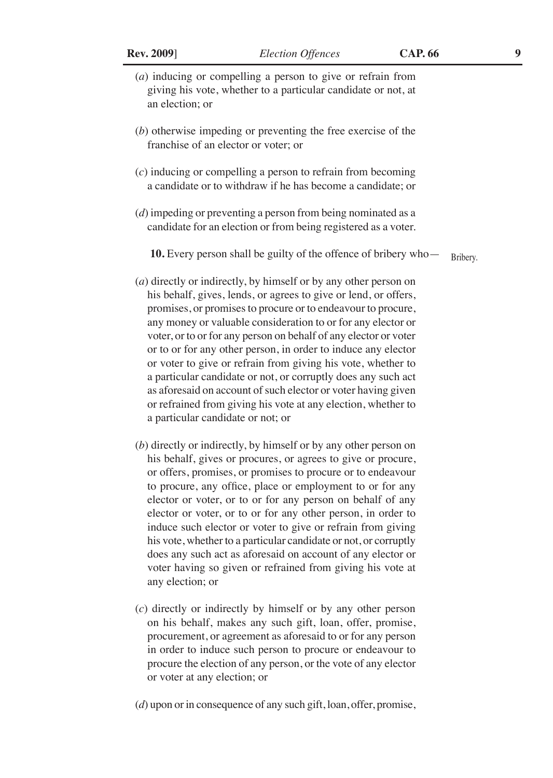- (*a*) inducing or compelling a person to give or refrain from giving his vote, whether to a particular candidate or not, at an election; or
- (*b*) otherwise impeding or preventing the free exercise of the franchise of an elector or voter; or
- (*c*) inducing or compelling a person to refrain from becoming a candidate or to withdraw if he has become a candidate; or
- (*d*) impeding or preventing a person from being nominated as a candidate for an election or from being registered as a voter.

**10.** Every person shall be guilty of the offence of bribery who— Bribery.

- (*a*) directly or indirectly, by himself or by any other person on his behalf, gives, lends, or agrees to give or lend, or offers, promises, or promises to procure or to endeavour to procure, any money or valuable consideration to or for any elector or voter, or to or for any person on behalf of any elector or voter or to or for any other person, in order to induce any elector or voter to give or refrain from giving his vote, whether to a particular candidate or not, or corruptly does any such act as aforesaid on account of such elector or voter having given or refrained from giving his vote at any election, whether to a particular candidate or not; or
- (*b*) directly or indirectly, by himself or by any other person on his behalf, gives or procures, or agrees to give or procure, or offers, promises, or promises to procure or to endeavour to procure, any office, place or employment to or for any elector or voter, or to or for any person on behalf of any elector or voter, or to or for any other person, in order to induce such elector or voter to give or refrain from giving his vote, whether to a particular candidate or not, or corruptly does any such act as aforesaid on account of any elector or voter having so given or refrained from giving his vote at any election; or
- (*c*) directly or indirectly by himself or by any other person on his behalf, makes any such gift, loan, offer, promise, procurement, or agreement as aforesaid to or for any person in order to induce such person to procure or endeavour to procure the election of any person, or the vote of any elector or voter at any election; or
- (*d*) upon or in consequence of any such gift, loan, offer, promise,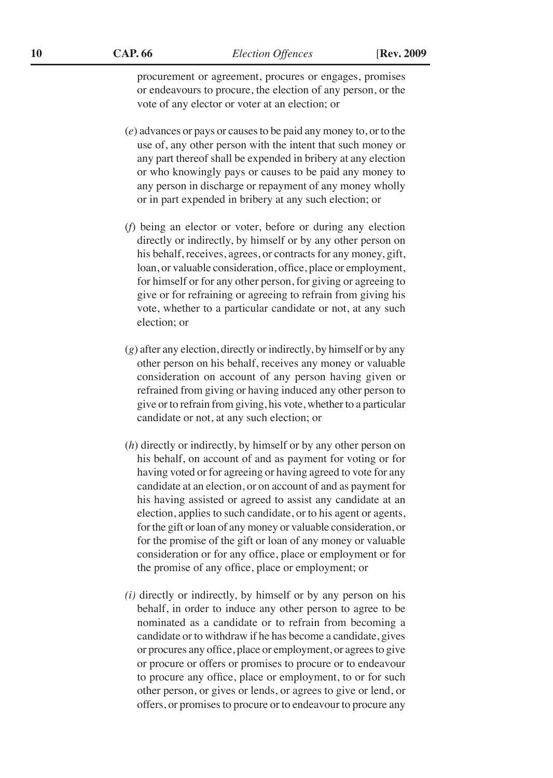**10 CAP. 66** *Election Offences* [**Rev. 2009** 

procurement or agreement, procures or engages, promises or endeavours to procure, the election of any person, or the vote of any elector or voter at an election; or

- (*e*) advances or pays or causes to be paid any money to, or to the use of, any other person with the intent that such money or any part thereof shall be expended in bribery at any election or who knowingly pays or causes to be paid any money to any person in discharge or repayment of any money wholly or in part expended in bribery at any such election; or
- (*f*) being an elector or voter, before or during any election directly or indirectly, by himself or by any other person on his behalf, receives, agrees, or contracts for any money, gift, loan, or valuable consideration, office, place or employment, for himself or for any other person, for giving or agreeing to give or for refraining or agreeing to refrain from giving his vote, whether to a particular candidate or not, at any such election; or
- (*g*) after any election, directly or indirectly, by himself or by any other person on his behalf, receives any money or valuable consideration on account of any person having given or refrained from giving or having induced any other person to give or to refrain from giving, his vote, whether to a particular candidate or not, at any such election; or
- (*h*) directly or indirectly, by himself or by any other person on his behalf, on account of and as payment for voting or for having voted or for agreeing or having agreed to vote for any candidate at an election, or on account of and as payment for his having assisted or agreed to assist any candidate at an election, applies to such candidate, or to his agent or agents, for the gift or loan of any money or valuable consideration, or for the promise of the gift or loan of any money or valuable consideration or for any office, place or employment or for the promise of any office, place or employment; or
- *(i)* directly or indirectly, by himself or by any person on his behalf, in order to induce any other person to agree to be nominated as a candidate or to refrain from becoming a candidate or to withdraw if he has become a candidate, gives or procures any office, place or employment, or agrees to give or procure or offers or promises to procure or to endeavour to procure any office, place or employment, to or for such other person, or gives or lends, or agrees to give or lend, or offers, or promises to procure or to endeavour to procure any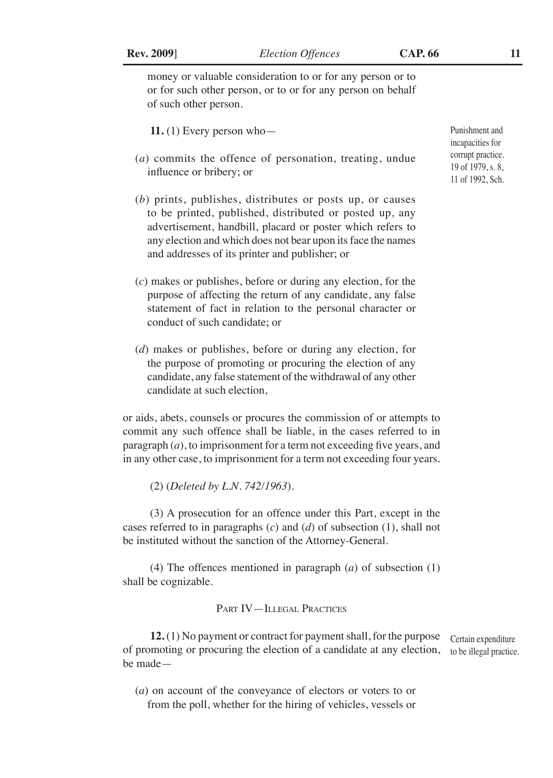money or valuable consideration to or for any person or to or for such other person, or to or for any person on behalf of such other person.

11.  $(1)$  Every person who-

- (*a*) commits the offence of personation, treating, undue influence or bribery; or
- (*b*) prints, publishes, distributes or posts up, or causes to be printed, published, distributed or posted up, any advertisement, handbill, placard or poster which refers to any election and which does not bear upon its face the names and addresses of its printer and publisher; or
- (*c*) makes or publishes, before or during any election, for the purpose of affecting the return of any candidate, any false statement of fact in relation to the personal character or conduct of such candidate; or
- (*d*) makes or publishes, before or during any election, for the purpose of promoting or procuring the election of any candidate, any false statement of the withdrawal of any other candidate at such election,

or aids, abets, counsels or procures the commission of or attempts to commit any such offence shall be liable, in the cases referred to in paragraph (*a*), to imprisonment for a term not exceeding five years, and in any other case, to imprisonment for a term not exceeding four years.

(2) (*Deleted by L.N. 742/1963*).

(3) A prosecution for an offence under this Part, except in the cases referred to in paragraphs (*c*) and (*d*) of subsection (1), shall not be instituted without the sanction of the Attorney-General.

(4) The offences mentioned in paragraph (*a*) of subsection (1) shall be cognizable.

#### Part IV—Illegal Practices

**12.** (1) No payment or contract for payment shall, for the purpose of promoting or procuring the election of a candidate at any election, to be illegal practice.be made— Certain expenditure

(*a*) on account of the conveyance of electors or voters to or from the poll, whether for the hiring of vehicles, vessels or

Punishment and incapacities for corrupt practice. 19 of 1979, s. 8, 11 of 1992, Sch.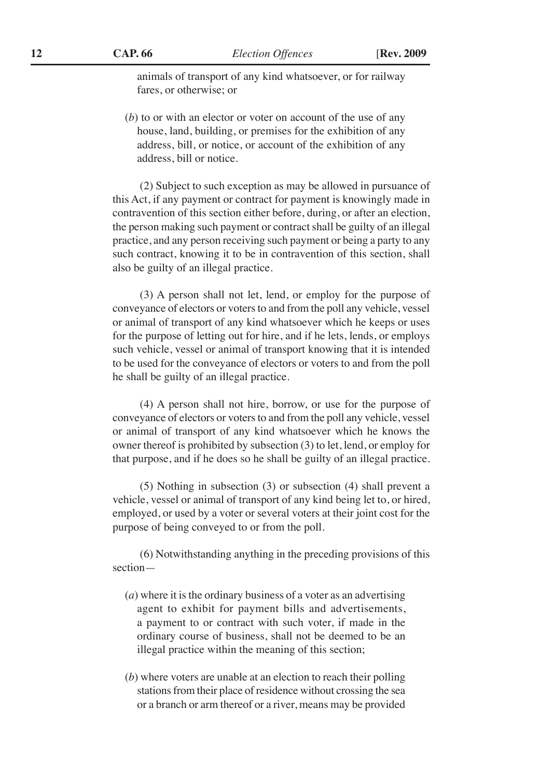animals of transport of any kind whatsoever, or for railway fares, or otherwise; or

(*b*) to or with an elector or voter on account of the use of any house, land, building, or premises for the exhibition of any address, bill, or notice, or account of the exhibition of any address, bill or notice.

(2) Subject to such exception as may be allowed in pursuance of this Act, if any payment or contract for payment is knowingly made in contravention of this section either before, during, or after an election, the person making such payment or contract shall be guilty of an illegal practice, and any person receiving such payment or being a party to any such contract, knowing it to be in contravention of this section, shall also be guilty of an illegal practice.

(3) A person shall not let, lend, or employ for the purpose of conveyance of electors or voters to and from the poll any vehicle, vessel or animal of transport of any kind whatsoever which he keeps or uses for the purpose of letting out for hire, and if he lets, lends, or employs such vehicle, vessel or animal of transport knowing that it is intended to be used for the conveyance of electors or voters to and from the poll he shall be guilty of an illegal practice.

(4) A person shall not hire, borrow, or use for the purpose of conveyance of electors or voters to and from the poll any vehicle, vessel or animal of transport of any kind whatsoever which he knows the owner thereof is prohibited by subsection (3) to let, lend, or employ for that purpose, and if he does so he shall be guilty of an illegal practice.

(5) Nothing in subsection (3) or subsection (4) shall prevent a vehicle, vessel or animal of transport of any kind being let to, or hired, employed, or used by a voter or several voters at their joint cost for the purpose of being conveyed to or from the poll.

(6) Notwithstanding anything in the preceding provisions of this section—

- (*a*) where it is the ordinary business of a voter as an advertising agent to exhibit for payment bills and advertisements, a payment to or contract with such voter, if made in the ordinary course of business, shall not be deemed to be an illegal practice within the meaning of this section;
- (*b*) where voters are unable at an election to reach their polling stations from their place of residence without crossing the sea or a branch or arm thereof or a river, means may be provided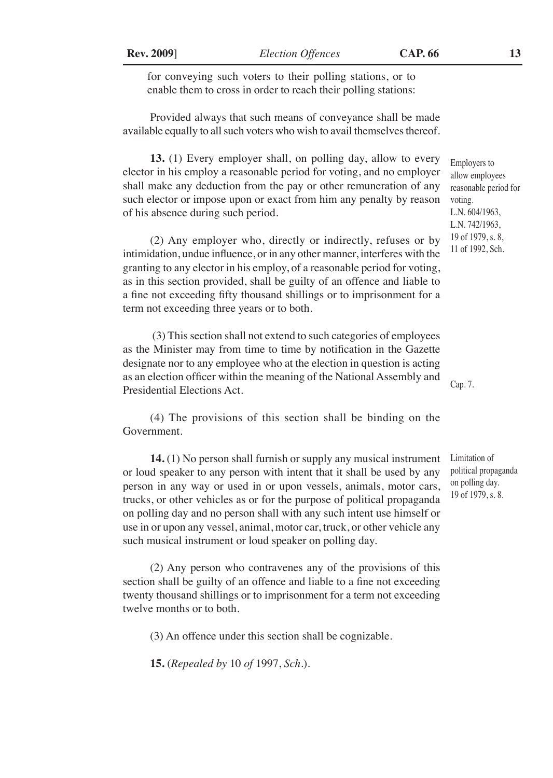for conveying such voters to their polling stations, or to enable them to cross in order to reach their polling stations:

Provided always that such means of conveyance shall be made available equally to all such voters who wish to avail themselves thereof.

**13.** (1) Every employer shall, on polling day, allow to every elector in his employ a reasonable period for voting, and no employer shall make any deduction from the pay or other remuneration of any such elector or impose upon or exact from him any penalty by reason of his absence during such period.

(2) Any employer who, directly or indirectly, refuses or by intimidation, undue influence, or in any other manner, interferes with the granting to any elector in his employ, of a reasonable period for voting, as in this section provided, shall be guilty of an offence and liable to a fine not exceeding fifty thousand shillings or to imprisonment for a term not exceeding three years or to both.

 (3) This section shall not extend to such categories of employees as the Minister may from time to time by notification in the Gazette designate nor to any employee who at the election in question is acting as an election officer within the meaning of the National Assembly and Presidential Elections Act.

(4) The provisions of this section shall be binding on the Government.

**14.** (1) No person shall furnish or supply any musical instrument or loud speaker to any person with intent that it shall be used by any person in any way or used in or upon vessels, animals, motor cars, trucks, or other vehicles as or for the purpose of political propaganda on polling day and no person shall with any such intent use himself or use in or upon any vessel, animal, motor car, truck, or other vehicle any such musical instrument or loud speaker on polling day.

(2) Any person who contravenes any of the provisions of this section shall be guilty of an offence and liable to a fine not exceeding twenty thousand shillings or to imprisonment for a term not exceeding twelve months or to both.

(3) An offence under this section shall be cognizable.

**15.** (*Repealed by* 10 *of* 1997, *Sch.*).

Employers to allow employees reasonable period for voting. L.N. 604/1963, L.N. 742/1963, 19 of 1979, s. 8, 11 of 1992, Sch.

Limitation of political propaganda on polling day. 19 of 1979, s. 8.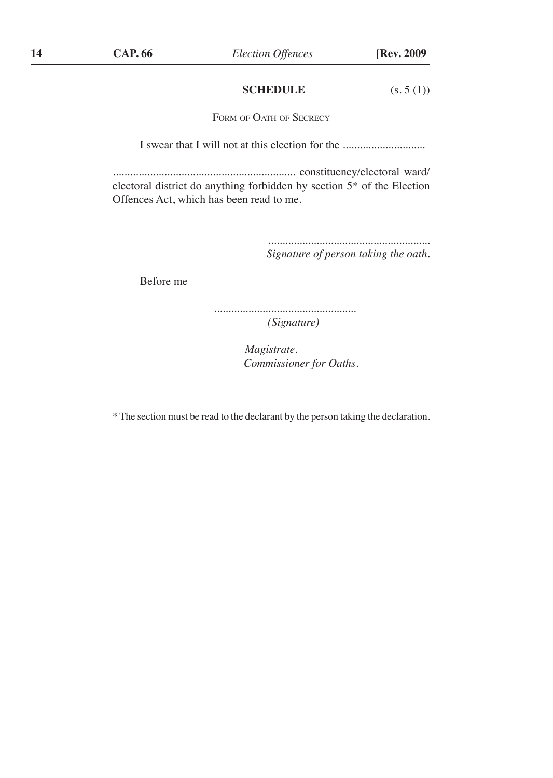### **SCHEDULE** (s. 5 (1))

FORM OF OATH OF SECRECY

I swear that I will not at this election for the ...............................

................................................................ constituency/electoral ward/ electoral district do anything forbidden by section 5\* of the Election Offences Act, which has been read to me.

> ......................................................... *Signature of person taking the oath.*

Before me

*.................................................. (Signature)*

> *Magistrate. Commissioner for Oaths.*

\* The section must be read to the declarant by the person taking the declaration.